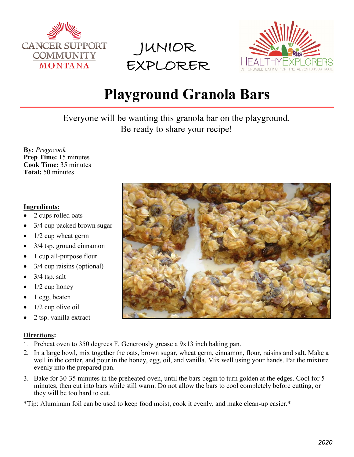





## **Playground Granola Bars**

Everyone will be wanting this granola bar on the playground. Be ready to share your recipe!

**By:** *Pregocook* **Prep Time:** 15 minutes **Cook Time:** 35 minutes **Total:** 50 minutes

## **Ingredients:**

- 2 cups rolled oats
- 3/4 cup packed brown sugar
- $1/2$  cup wheat germ
- 3/4 tsp. ground cinnamon
- 1 cup all-purpose flour
- 3/4 cup raisins (optional)
- $3/4$  tsp. salt
- $1/2$  cup honey
- 1 egg, beaten
- $1/2$  cup olive oil
- 2 tsp. vanilla extract

## **Directions:**

- 1. Preheat oven to 350 degrees F. Generously grease a  $9x13$  inch baking pan.
- 2. In a large bowl, mix together the oats, brown sugar, wheat germ, cinnamon, flour, raisins and salt. Make a well in the center, and pour in the honey, egg, oil, and vanilla. Mix well using your hands. Pat the mixture evenly into the prepared pan.
- 3. Bake for 30-35 minutes in the preheated oven, until the bars begin to turn golden at the edges. Cool for 5 minutes, then cut into bars while still warm. Do not allow the bars to cool completely before cutting, or they will be too hard to cut.

\*Tip: Aluminum foil can be used to keep food moist, cook it evenly, and make clean-up easier.\*